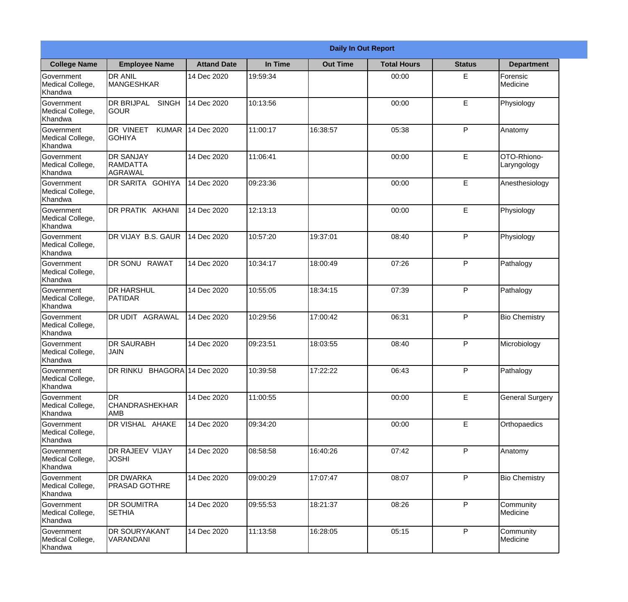|                                                  |                                                |                    |          | <b>Daily In Out Report</b> |                    |               |                            |
|--------------------------------------------------|------------------------------------------------|--------------------|----------|----------------------------|--------------------|---------------|----------------------------|
| <b>College Name</b>                              | <b>Employee Name</b>                           | <b>Attand Date</b> | In Time  | <b>Out Time</b>            | <b>Total Hours</b> | <b>Status</b> | <b>Department</b>          |
| Government<br>Medical College,<br>Khandwa        | <b>DR ANIL</b><br><b>MANGESHKAR</b>            | 14 Dec 2020        | 19:59:34 |                            | 00:00              | E             | Forensic<br>Medicine       |
| Government<br>Medical College,<br>Khandwa        | <b>DR BRIJPAL</b><br><b>SINGH</b><br> GOUR     | 14 Dec 2020        | 10:13:56 |                            | 00:00              | E             | Physiology                 |
| Government<br>Medical College,<br>Khandwa        | DR VINEET<br><b>KUMAR</b><br>IGOHIYA           | 14 Dec 2020        | 11:00:17 | 16:38:57                   | 05:38              | P             | Anatomy                    |
| Government<br>Medical College,<br>Khandwa        | <b>DR SANJAY</b><br>RAMDATTA<br><b>AGRAWAL</b> | 14 Dec 2020        | 11:06:41 |                            | 00:00              | E             | OTO-Rhiono-<br>Laryngology |
| <b>Government</b><br>Medical College,<br>Khandwa | <b>DR SARITA GOHIYA</b>                        | 14 Dec 2020        | 09:23:36 |                            | 00:00              | E             | Anesthesiology             |
| Government<br>Medical College,<br>Khandwa        | DR PRATIK AKHANI                               | 14 Dec 2020        | 12:13:13 |                            | 00:00              | E             | Physiology                 |
| Government<br>Medical College,<br>Khandwa        | DR VIJAY B.S. GAUR                             | 14 Dec 2020        | 10:57:20 | 19:37:01                   | 08:40              | P             | Physiology                 |
| Government<br>Medical College,<br>Khandwa        | DR SONU RAWAT                                  | 14 Dec 2020        | 10:34:17 | 18:00:49                   | 07:26              | P             | Pathalogy                  |
| <b>Government</b><br>Medical College,<br>Khandwa | <b>DR HARSHUL</b><br><b>PATIDAR</b>            | 14 Dec 2020        | 10:55:05 | 18:34:15                   | 07:39              | P             | Pathalogy                  |
| Government<br>Medical College,<br>Khandwa        | <b>DR UDIT AGRAWAL</b>                         | 14 Dec 2020        | 10:29:56 | 17:00:42                   | 06:31              | P             | <b>Bio Chemistry</b>       |
| Government<br>Medical College,<br>Khandwa        | <b>DR SAURABH</b><br><b>JAIN</b>               | 14 Dec 2020        | 09:23:51 | 18:03:55                   | 08:40              | P             | Microbiology               |
| Government<br>Medical College,<br>Khandwa        | DR RINKU BHAGORA 14 Dec 2020                   |                    | 10:39:58 | 17:22:22                   | 06:43              | P             | Pathalogy                  |
| Government<br>Medical College,<br>Khandwa        | DR<br><b>CHANDRASHEKHAR</b><br>AMB             | 14 Dec 2020        | 11:00:55 |                            | 00:00              | E             | <b>General Surgery</b>     |
| Government<br>Medical College,<br>Khandwa        | DR VISHAL AHAKE                                | 14 Dec 2020        | 09:34:20 |                            | 00:00              | $\mathsf E$   | Orthopaedics               |
| Government<br>Medical College,<br>Khandwa        | DR RAJEEV VIJAY<br><b>JOSHI</b>                | 14 Dec 2020        | 08:58:58 | 16:40:26                   | 07:42              | P             | Anatomy                    |
| Government<br>Medical College,<br>Khandwa        | <b>DR DWARKA</b><br><b>PRASAD GOTHRE</b>       | 14 Dec 2020        | 09:00:29 | 17:07:47                   | 08:07              | P             | <b>Bio Chemistry</b>       |
| Government<br>Medical College,<br>Khandwa        | <b>DR SOUMITRA</b><br><b>SETHIA</b>            | 14 Dec 2020        | 09:55:53 | 18:21:37                   | 08:26              | P             | Community<br>Medicine      |
| Government<br>Medical College,<br>Khandwa        | <b>DR SOURYAKANT</b><br>VARANDANI              | 14 Dec 2020        | 11:13:58 | 16:28:05                   | 05:15              | $\mathsf{P}$  | Community<br>Medicine      |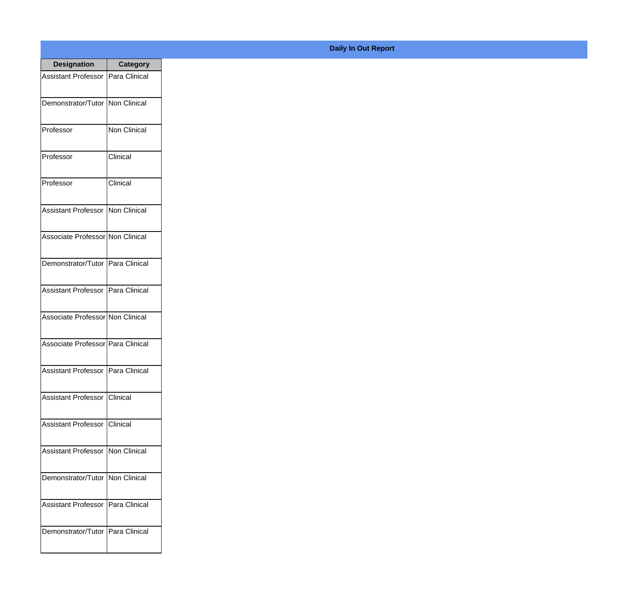| <b>Designation</b>                         | <b>Category</b> |
|--------------------------------------------|-----------------|
| Assistant Professor                        | Para Clinical   |
| Demonstrator/Tutor   Non Clinical          |                 |
| Professor                                  | Non Clinical    |
| Professor                                  | Clinical        |
| Professor                                  | Clinical        |
| Assistant Professor   Non Clinical         |                 |
| Associate Professor Non Clinical           |                 |
| Demonstrator/Tutor   Para Clinical         |                 |
| Assistant Professor   Para Clinical        |                 |
| Associate Professor Non Clinical           |                 |
| Associate Professor Para Clinical          |                 |
| Assistant Professor   Para Clinical        |                 |
| Assistant Professor   Clinical             |                 |
| Assistant Professor   Clinical             |                 |
| <b>Assistant Professor   Non Clinical</b>  |                 |
| Demonstrator/Tutor   Non Clinical          |                 |
| <b>Assistant Professor   Para Clinical</b> |                 |
| Demonstrator/Tutor   Para Clinical         |                 |
|                                            |                 |

## **Daily In Out Report**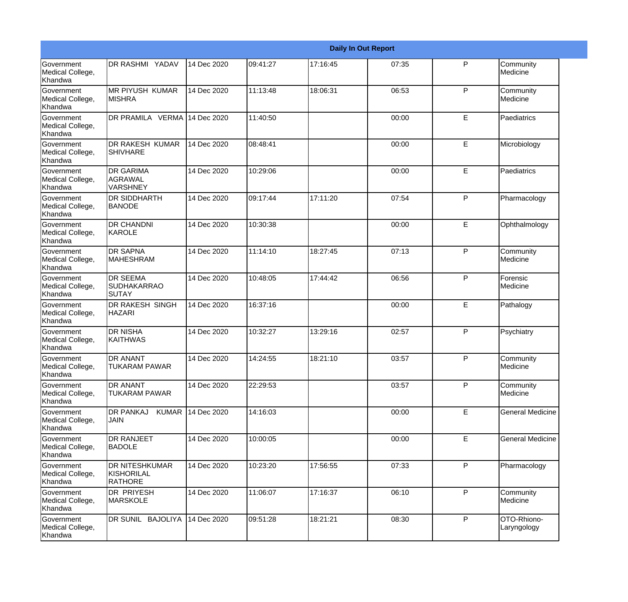|                                                         |                                                       |             |          |          | <b>Daily In Out Report</b> |   |                            |
|---------------------------------------------------------|-------------------------------------------------------|-------------|----------|----------|----------------------------|---|----------------------------|
| Government<br>Medical College,<br>Khandwa               | <b>DR RASHMI YADAV</b>                                | 14 Dec 2020 | 09:41:27 | 17:16:45 | 07:35                      | P | Community<br>Medicine      |
| <b>Government</b><br>Medical College,<br>Khandwa        | <b>MR PIYUSH KUMAR</b><br><b>MISHRA</b>               | 14 Dec 2020 | 11:13:48 | 18:06:31 | 06:53                      | P | Community<br>Medicine      |
| <b>Government</b><br>Medical College,<br>Khandwa        | DR PRAMILA VERMA 14 Dec 2020                          |             | 11:40:50 |          | 00:00                      | E | Paediatrics                |
| <b>Government</b><br>Medical College,<br>Khandwa        | <b>DR RAKESH KUMAR</b><br><b>SHIVHARE</b>             | 14 Dec 2020 | 08:48:41 |          | 00:00                      | E | Microbiology               |
| <b>Government</b><br>Medical College,<br>Khandwa        | <b>DR GARIMA</b><br>AGRAWAL<br><b>VARSHNEY</b>        | 14 Dec 2020 | 10:29:06 |          | 00:00                      | E | Paediatrics                |
| <b>Government</b><br>Medical College,<br><b>Khandwa</b> | <b>DR SIDDHARTH</b><br><b>BANODE</b>                  | 14 Dec 2020 | 09:17:44 | 17:11:20 | 07:54                      | P | Pharmacology               |
| Government<br>Medical College,<br>Khandwa               | <b>DR CHANDNI</b><br><b>IKAROLE</b>                   | 14 Dec 2020 | 10:30:38 |          | 00:00                      | E | Ophthalmology              |
| Government<br>Medical College,<br>Khandwa               | <b>DR SAPNA</b><br><b>MAHESHRAM</b>                   | 14 Dec 2020 | 11:14:10 | 18:27:45 | 07:13                      | P | Community<br>Medicine      |
| Government<br>Medical College,<br>Khandwa               | <b>DR SEEMA</b><br><b>SUDHAKARRAO</b><br>SUTAY        | 14 Dec 2020 | 10:48:05 | 17:44:42 | 06:56                      | P | Forensic<br>Medicine       |
| <b>Government</b><br>Medical College,<br>Khandwa        | <b>DR RAKESH SINGH</b><br><b>HAZARI</b>               | 14 Dec 2020 | 16:37:16 |          | 00:00                      | E | Pathalogy                  |
| <b>Government</b><br>Medical College,<br>Khandwa        | <b>DR NISHA</b><br><b>KAITHWAS</b>                    | 14 Dec 2020 | 10:32:27 | 13:29:16 | 02:57                      | P | Psychiatry                 |
| Government<br>Medical College,<br>Khandwa               | <b>DR ANANT</b><br><b>TUKARAM PAWAR</b>               | 14 Dec 2020 | 14:24:55 | 18:21:10 | 03:57                      | P | Community<br>Medicine      |
| Government<br>Medical College,<br>Khandwa               | <b>DR ANANT</b><br><b>TUKARAM PAWAR</b>               | 14 Dec 2020 | 22:29:53 |          | 03:57                      | P | Community<br>Medicine      |
| <b>Government</b><br>Medical College,<br>Khandwa        | <b>KUMAR</b><br><b>DR PANKAJ</b><br><b>JAIN</b>       | 14 Dec 2020 | 14:16:03 |          | 00:00                      | E | <b>General Medicine</b>    |
| Government<br>Medical College,<br>Khandwa               | <b>DR RANJEET</b><br><b>BADOLE</b>                    | 14 Dec 2020 | 10:00:05 |          | 00:00                      | E | <b>General Medicine</b>    |
| Government<br>Medical College,<br>Khandwa               | <b>DR NITESHKUMAR</b><br>KISHORILAL<br><b>RATHORE</b> | 14 Dec 2020 | 10:23:20 | 17:56:55 | 07:33                      | P | Pharmacology               |
| Government<br>Medical College,<br>Khandwa               | DR PRIYESH<br><b>MARSKOLE</b>                         | 14 Dec 2020 | 11:06:07 | 17:16:37 | 06:10                      | P | Community<br>Medicine      |
| Government<br>Medical College,<br>Khandwa               | DR SUNIL BAJOLIYA                                     | 14 Dec 2020 | 09:51:28 | 18:21:21 | 08:30                      | P | OTO-Rhiono-<br>Laryngology |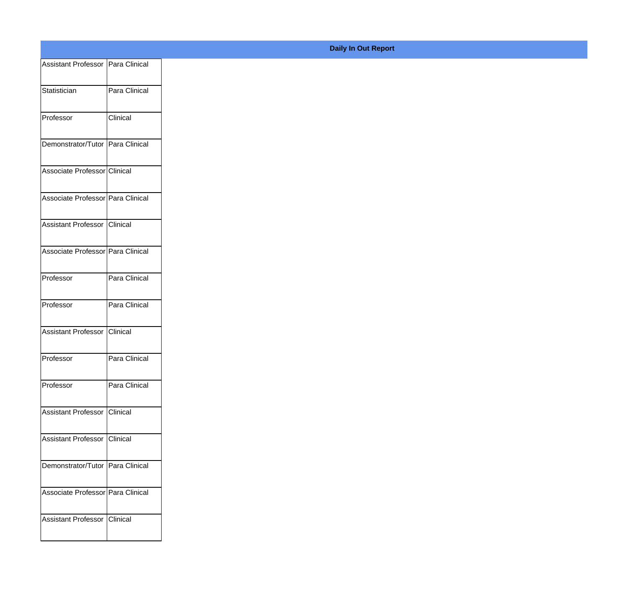| Assistant Professor Para Clinical |               |
|-----------------------------------|---------------|
| Statistician                      | Para Clinical |
|                                   |               |
| Professor                         | Clinical      |
| Demonstrator/Tutor Para Clinical  |               |
|                                   |               |
| Associate Professor Clinical      |               |
| Associate Professor Para Clinical |               |
|                                   |               |
| Assistant Professor Clinical      |               |
| Associate Professor Para Clinical |               |
|                                   |               |
| Professor                         | Para Clinical |
| Professor                         | Para Clinical |
|                                   |               |
| Assistant Professor Clinical      |               |
| Professor                         | Para Clinical |
|                                   |               |
| Professor                         | Para Clinical |
| Assistant Professor Clinical      |               |
|                                   |               |
| Assistant Professor Clinical      |               |
| Demonstrator/Tutor Para Clinical  |               |
| Associate Professor Para Clinical |               |
|                                   |               |
| Assistant Professor Clinical      |               |
|                                   |               |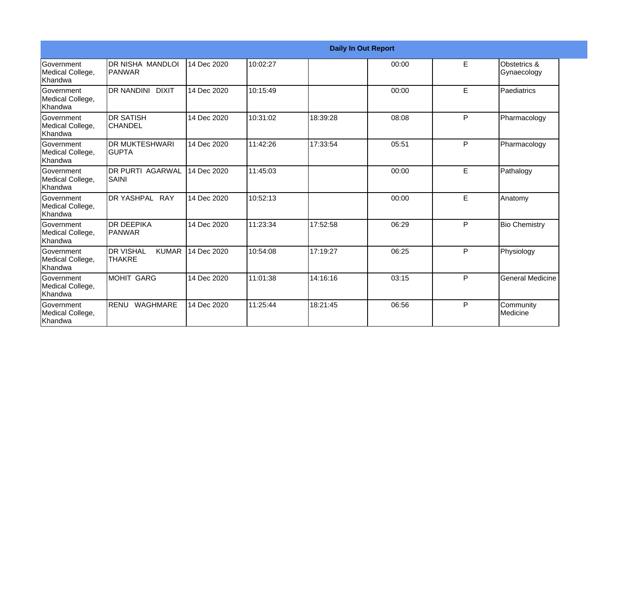|                                                         |                                                   |             |          |          | <b>Daily In Out Report</b> |   |                             |
|---------------------------------------------------------|---------------------------------------------------|-------------|----------|----------|----------------------------|---|-----------------------------|
| Government<br>Medical College,<br><b>Khandwa</b>        | IDR NISHA MANDLOI<br><b>PANWAR</b>                | 14 Dec 2020 | 10:02:27 |          | 00:00                      | E | Obstetrics &<br>Gynaecology |
| <b>Government</b><br>Medical College,<br>Khandwa        | DR NANDINI DIXIT                                  | 14 Dec 2020 | 10:15:49 |          | 00:00                      | E | Paediatrics                 |
| <b>Government</b><br>Medical College,<br><b>Khandwa</b> | <b>DR SATISH</b><br><b>CHANDEL</b>                | 14 Dec 2020 | 10:31:02 | 18:39:28 | 08:08                      | P | Pharmacology                |
| Government<br>Medical College,<br>Khandwa               | <b>IDR MUKTESHWARI</b><br><b>GUPTA</b>            | 14 Dec 2020 | 11:42:26 | 17:33:54 | 05:51                      | P | Pharmacology                |
| Government<br>Medical College,<br><b>Khandwa</b>        | <b>DR PURTI AGARWAL</b><br>SAINI                  | 14 Dec 2020 | 11:45:03 |          | 00:00                      | E | Pathalogy                   |
| Government<br>Medical College,<br>Khandwa               | DR YASHPAL RAY                                    | 14 Dec 2020 | 10:52:13 |          | 00:00                      | E | Anatomy                     |
| Government<br>Medical College,<br>Khandwa               | <b>DR DEEPIKA</b><br><b>PANWAR</b>                | 14 Dec 2020 | 11:23:34 | 17:52:58 | 06:29                      | P | <b>Bio Chemistry</b>        |
| <b>Government</b><br>Medical College,<br>Khandwa        | <b>DR VISHAL</b><br><b>KUMAR</b><br><b>THAKRE</b> | 14 Dec 2020 | 10:54:08 | 17:19:27 | 06:25                      | P | Physiology                  |
| Government<br>Medical College,<br>Khandwa               | <b>MOHIT GARG</b>                                 | 14 Dec 2020 | 11:01:38 | 14:16:16 | 03:15                      | P | <b>General Medicine</b>     |
| <b>Government</b><br>Medical College,<br>Khandwa        | RENU WAGHMARE                                     | 14 Dec 2020 | 11:25:44 | 18:21:45 | 06:56                      | P | Community<br>Medicine       |